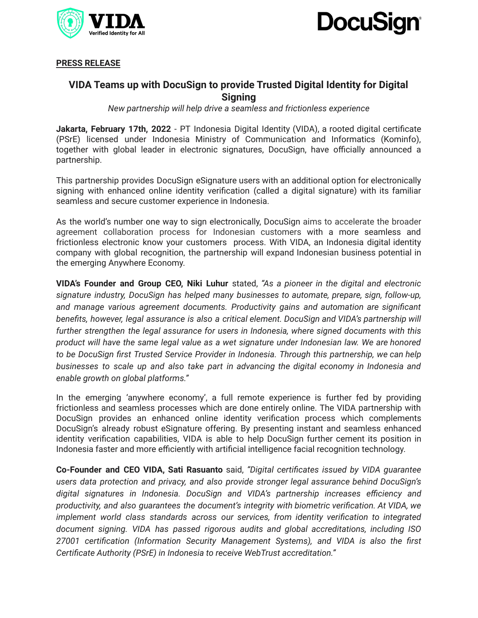



**PRESS RELEASE**

## **VIDA Teams up with DocuSign to provide Trusted Digital Identity for Digital Signing**

*New partnership will help drive a seamless and frictionless experience*

**Jakarta, February 17th, 2022** - PT Indonesia Digital Identity (VIDA), a rooted digital certificate (PSrE) licensed under Indonesia Ministry of Communication and Informatics (Kominfo), together with global leader in electronic signatures, DocuSign, have officially announced a partnership.

This partnership provides DocuSign eSignature users with an additional option for electronically signing with enhanced online identity verification (called a digital signature) with its familiar seamless and secure customer experience in Indonesia.

As the world's number one way to sign electronically, DocuSign aims to accelerate the broader agreement collaboration process for Indonesian customers with a more seamless and frictionless electronic know your customers process. With VIDA, an Indonesia digital identity company with global recognition, the partnership will expand Indonesian business potential in the emerging Anywhere Economy.

**VIDA's Founder and Group CEO, Niki Luhur** stated, *"As a pioneer in the digital and electronic signature industry, DocuSign has helped many businesses to automate, prepare, sign, follow-up, and manage various agreement documents. Productivity gains and automation are significant benefits, however, legal assurance is also a critical element. DocuSign and VIDA's partnership will further strengthen the legal assurance for users in Indonesia, where signed documents with this product will have the same legal value as a wet signature under Indonesian law. We are honored to be DocuSign first Trusted Service Provider in Indonesia. Through this partnership, we can help businesses to scale up and also take part in advancing the digital economy in Indonesia and enable growth on global platforms."*

In the emerging 'anywhere economy', a full remote experience is further fed by providing frictionless and seamless processes which are done entirely online. The VIDA partnership with DocuSign provides an enhanced online identity verification process which complements DocuSign's already robust eSignature offering. By presenting instant and seamless enhanced identity verification capabilities, VIDA is able to help DocuSign further cement its position in Indonesia faster and more efficiently with artificial intelligence facial recognition technology.

**Co-Founder and CEO VIDA, Sati Rasuanto** said, *"Digital certificates issued by VIDA guarantee users data protection and privacy, and also provide stronger legal assurance behind DocuSign's digital signatures in Indonesia. DocuSign and VIDA's partnership increases efficiency and productivity, and also guarantees the document's integrity with biometric verification. At VIDA, we implement world class standards across our services, from identity verification to integrated document signing. VIDA has passed rigorous audits and global accreditations, including ISO 27001 certification (Information Security Management Systems), and VIDA is also the first Certificate Authority (PSrE) in Indonesia to receive WebTrust accreditation."*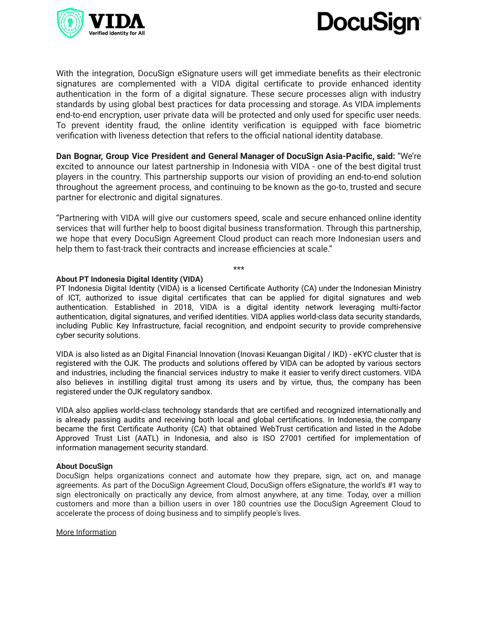



With the integration, DocuSign eSignature users will get immediate benefits as their electronic signatures are complemented with a VIDA digital certificate to provide enhanced identity authentication in the form of a digital signature. These secure processes align with industry standards by using global best practices for data processing and storage. As VIDA implements end-to-end encryption, user private data will be protected and only used for specific user needs. To prevent identity fraud, the online identity verification is equipped with face biometric verification with liveness detection that refers to the official national identity database.

**Dan Bognar, Group Vice President and General Manager of DocuSign Asia-Pacific, said:** "We're excited to announce our latest partnership in Indonesia with VIDA - one of the best digital trust players in the country. This partnership supports our vision of providing an end-to-end solution throughout the agreement process, and continuing to be known as the go-to, trusted and secure partner for electronic and digital signatures.

"Partnering with VIDA will give our customers speed, scale and secure enhanced online identity services that will further help to boost digital business transformation. Through this partnership, we hope that every DocuSign Agreement Cloud product can reach more Indonesian users and help them to fast-track their contracts and increase efficiencies at scale."

\*\*\*

## **About PT Indonesia Digital Identity (VIDA)**

PT Indonesia Digital Identity (VIDA) is a licensed Certificate Authority (CA) under the Indonesian Ministry of ICT, authorized to issue digital certificates that can be applied for digital signatures and web authentication. Established in 2018, VIDA is a digital identity network leveraging multi-factor authentication, digital signatures, and verified identities. VIDA applies world-class data security standards, including Public Key Infrastructure, facial recognition, and endpoint security to provide comprehensive cyber security solutions.

VIDA is also listed as an Digital Financial Innovation (Inovasi Keuangan Digital / IKD) - eKYC cluster that is registered with the OJK. The products and solutions offered by VIDA can be adopted by various sectors and industries, including the financial services industry to make it easier to verify direct customers. VIDA also believes in instilling digital trust among its users and by virtue, thus, the company has been registered under the OJK regulatory sandbox.

VIDA also applies world-class technology standards that are certified and recognized internationally and is already passing audits and receiving both local and global certifications. In Indonesia, the company became the first Certificate Authority (CA) that obtained WebTrust certification and listed in the Adobe Approved Trust List (AATL) in Indonesia, and also is ISO 27001 certified for implementation of information management security standard.

## **About DocuSign**

DocuSign helps organizations connect and automate how they prepare, sign, act on, and manage agreements. As part of the DocuSign Agreement Cloud, DocuSign offers eSignature, the world's #1 way to sign electronically on practically any device, from almost anywhere, at any time. Today, over a million customers and more than a billion users in over 180 countries use the DocuSign Agreement Cloud to accelerate the process of doing business and to simplify people's lives.

More Information